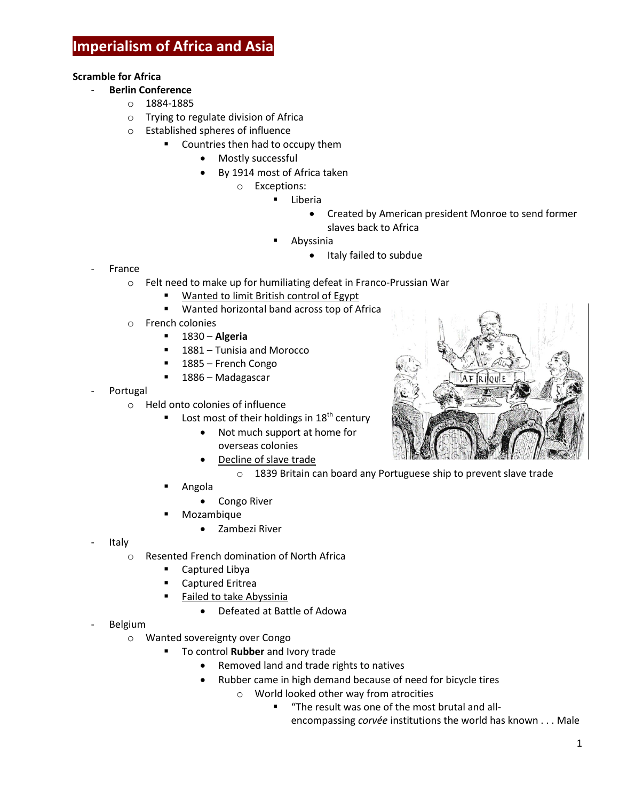## **Imperialism of Africa and Asia**

## **Scramble for Africa**

## - **Berlin Conference**

- o 1884-1885
- o Trying to regulate division of Africa
- o Established spheres of influence
	- **Countries then had to occupy them** 
		- Mostly successful
		- By 1914 most of Africa taken
			- o Exceptions:
				- **E** Liberia
					- Created by American president Monroe to send former slaves back to Africa
				- Abyssinia
					- Italy failed to subdue

- **France** 
	- o Felt need to make up for humiliating defeat in Franco-Prussian War
		- Wanted to limit British control of Egypt
		- **Wanted horizontal band across top of Africa**
	- o French colonies
		- 1830 **Algeria**
		- **1881 Tunisia and Morocco**
		- 1885 French Congo
		- 1886 Madagascar
- **Portugal** 
	- o Held onto colonies of influence
		- **Lost most of their holdings in 18<sup>th</sup> century** 
			- Not much support at home for overseas colonies
			- Decline of slave trade
				- o 1839 Britain can board any Portuguese ship to prevent slave trade
		- Angola
			- Congo River
			- Mozambique
				- Zambezi River
- **Italy** 
	- o Resented French domination of North Africa
		- Captured Libya
		- **EXEC** Captured Eritrea
		- Failed to take Abyssinia
			- Defeated at Battle of Adowa
- **Belgium** 
	- o Wanted sovereignty over Congo
		- **To control Rubber** and Ivory trade
			- Removed land and trade rights to natives
			- Rubber came in high demand because of need for bicycle tires
				- o World looked other way from atrocities
					- "The result was one of the most brutal and all
						- encompassing *corvée* institutions the world has known . . . Male

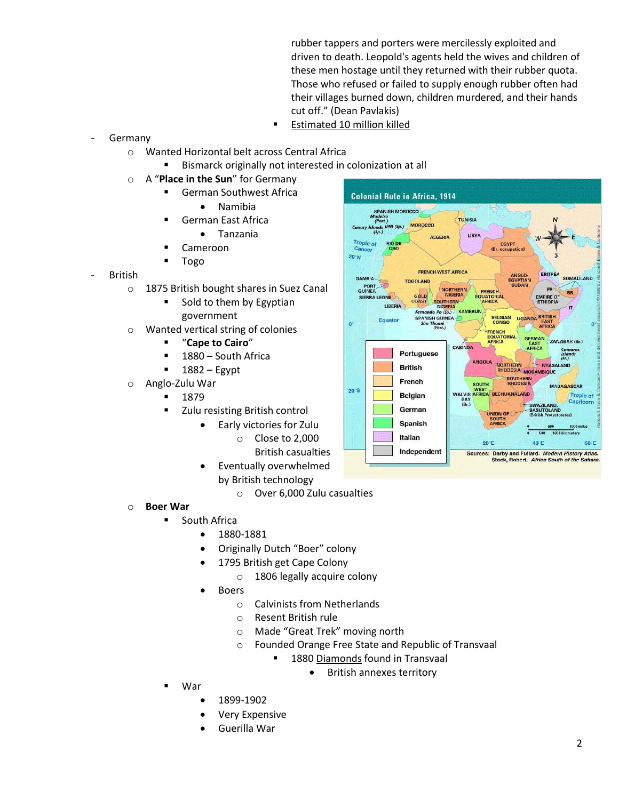rubber tappers and porters were mercilessly exploited and driven to death. Leopold's agents held the wives and children of these men hostage until they returned with their rubber quota. Those who refused or failed to supply enough rubber often had their villages burned down, children murdered, and their hands cut off." (Dean Pavlakis)

Estimated 10 million killed

- **Germany** 
	- o Wanted Horizontal belt across Central Africa
		- Bismarck originally not interested in colonization at all
	- o A "**Place in the Sun**" for Germany
		- German Southwest Africa
			- Namibia
		- German East Africa
			- Tanzania
		- Cameroon
		- **Togo**
- **British** 
	- o 1875 British bought shares in Suez Canal
		- Sold to them by Egyptian government
	- o Wanted vertical string of colonies
		- "**Cape to Cairo**"
		- 1880 South Africa
		- 1882 Egypt
	- o Anglo-Zulu War
		- 1879
		- **EXECUTE:** Zulu resisting British control
			- Early victories for Zulu
				- o Close to 2,000
					- British casualties
				- Eventually overwhelmed by British technology
					- o Over 6,000 Zulu casualties
	- o **Boer War**
		- South Africa
			- 1880-1881
			- Originally Dutch "Boer" colony
				- 1795 British get Cape Colony
					- o 1806 legally acquire colony
			- Boers
				- o Calvinists from Netherlands
				- o Resent British rule
				- o Made "Great Trek" moving north
				- o Founded Orange Free State and Republic of Transvaal
					- **1880 Diamonds found in Transvaal** 
						- British annexes territory

- **War** 
	- 1899-1902
	- Very Expensive
	- Guerilla War

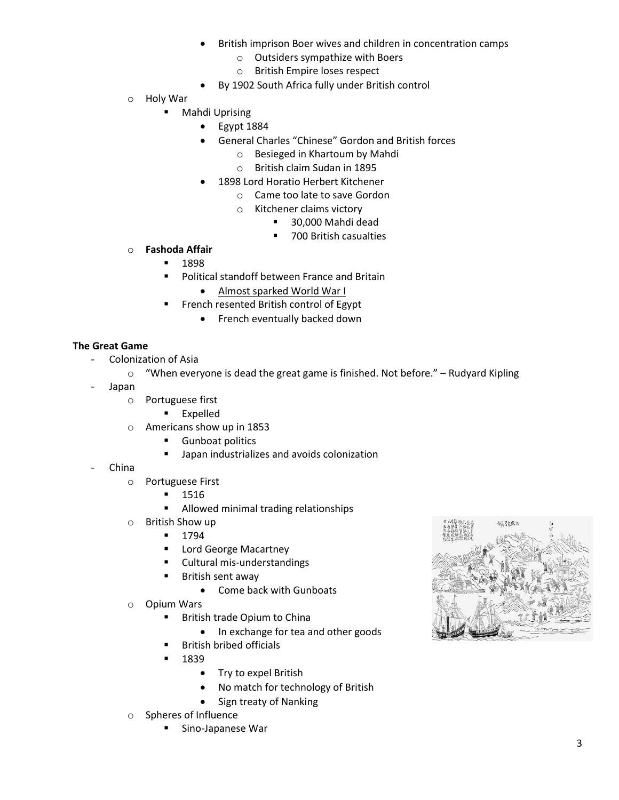- British imprison Boer wives and children in concentration camps
	- o Outsiders sympathize with Boers
	- o British Empire loses respect
- By 1902 South Africa fully under British control
- o Holy War
	- Mahdi Uprising
		- Egypt 1884
		- General Charles "Chinese" Gordon and British forces
			- o Besieged in Khartoum by Mahdi
			- o British claim Sudan in 1895
		- 1898 Lord Horatio Herbert Kitchener
			- o Came too late to save Gordon
				- o Kitchener claims victory
					- 30,000 Mahdi dead
					- 700 British casualties
- o **Fashoda Affair** 
	- 1898
	- **Political standoff between France and Britain** 
		- Almost sparked World War I
	- French resented British control of Egypt
		- French eventually backed down

## **The Great Game**

- Colonization of Asia
	- $\circ$  "When everyone is dead the great game is finished. Not before." Rudyard Kipling
- Japan
	- o Portuguese first
		- **Expelled**
	- o Americans show up in 1853
		- **Gunboat politics**
		- **Japan industrializes and avoids colonization**
- **China** 
	- o Portuguese First
		- 1516
		- **Allowed minimal trading relationships**
	- o British Show up
		- $-1794$
		- **E** Lord George Macartney
		- Cultural mis-understandings
		- **British sent away** 
			- Come back with Gunboats
	- o Opium Wars
		- **British trade Opium to China** 
			- In exchange for tea and other goods
			- British bribed officials
		- **1839** 
			- Try to expel British
			- No match for technology of British
			- Sign treaty of Nanking
	- o Spheres of Influence
		- Sino-Japanese War

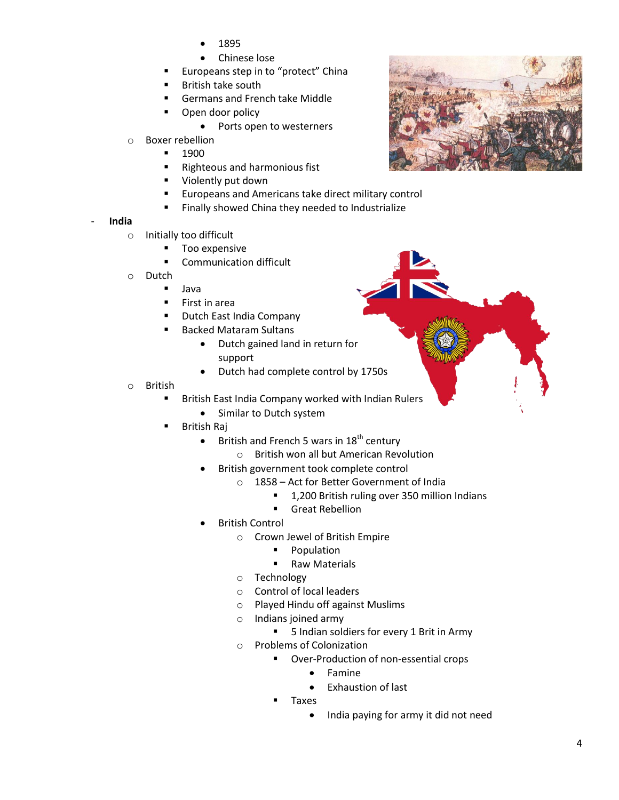- 1895
- Chinese lose
- Europeans step in to "protect" China
- **British take south**
- Germans and French take Middle
	- Open door policy
		- Ports open to westerners
- o Boxer rebellion
	- $1900$
	- **Righteous and harmonious fist**
	- **Violently put down**
	- **EUR** Europeans and Americans take direct military control
	- **Finally showed China they needed to Industrialize**
- **India**
	- o Initially too difficult
		- **Too expensive**
		- **Communication difficult**
	- o Dutch
		- Java
		- First in area
		- Dutch East India Company
		- Backed Mataram Sultans
			- Dutch gained land in return for support
			- Dutch had complete control by 1750s
	- o British
- British East India Company worked wit[h Indian Rulers](http://www.google.com/url?sa=i&source=images&cd=&cad=rja&docid=K6emeKAkmTC1yM&tbnid=AXOiKxeUB2mypM:&ved=0CAgQjRwwAA&url=http://commons.wikimedia.org/wiki/File:Flag_Map_of_British_Raj_(India).png&ei=d3xPUbO-Eca_ygG124HIAg&psig=AFQjCNFLjfftj4b-J-YrPZgAcFZbsZj8Lg&ust=1364250103333657)
	- Similar to Dutch system
- British Raj
	- **British and French 5 wars in 18<sup>th</sup> century** 
		- o British won all but American Revolution
	- British government took complete control
		- o 1858 Act for Better Government of India
			- **1,200 British ruling over 350 million Indians**
			- **Great Rebellion**
	- British Control
		- o Crown Jewel of British Empire
			- Population
			- **Raw Materials**
		- o Technology
		- o Control of local leaders
		- o Played Hindu off against Muslims
		- o Indians joined army
			- **5** Indian soldiers for every 1 Brit in Army
		- o Problems of Colonization
			- Over-Production of non-essential crops
				- Famine
				- Exhaustion of last
			- **Taxes** 
				- India paying for army it did not need